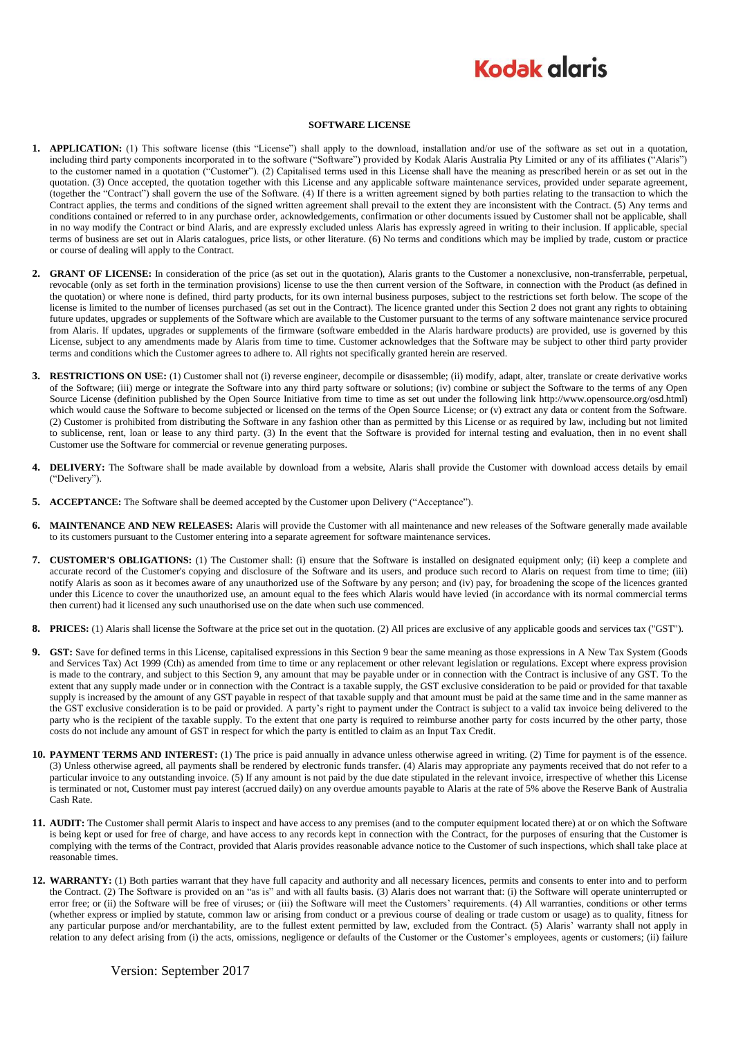## **Kodak glaris**

## **SOFTWARE LICENSE**

- **1. APPLICATION:** (1) This software license (this "License") shall apply to the download, installation and/or use of the software as set out in a quotation, including third party components incorporated in to the software ("Software") provided by Kodak Alaris Australia Pty Limited or any of its affiliates ("Alaris") to the customer named in a quotation ("Customer"). (2) Capitalised terms used in this License shall have the meaning as prescribed herein or as set out in the quotation. (3) Once accepted, the quotation together with this License and any applicable software maintenance services, provided under separate agreement, (together the "Contract") shall govern the use of the Software. (4) If there is a written agreement signed by both parties relating to the transaction to which the Contract applies, the terms and conditions of the signed written agreement shall prevail to the extent they are inconsistent with the Contract. (5) Any terms and conditions contained or referred to in any purchase order, acknowledgements, confirmation or other documents issued by Customer shall not be applicable, shall in no way modify the Contract or bind Alaris, and are expressly excluded unless Alaris has expressly agreed in writing to their inclusion. If applicable, special terms of business are set out in Alaris catalogues, price lists, or other literature. (6) No terms and conditions which may be implied by trade, custom or practice or course of dealing will apply to the Contract.
- **2. GRANT OF LICENSE:** In consideration of the price (as set out in the quotation), Alaris grants to the Customer a nonexclusive, non-transferrable, perpetual, revocable (only as set forth in the termination provisions) license to use the then current version of the Software, in connection with the Product (as defined in the quotation) or where none is defined, third party products, for its own internal business purposes, subject to the restrictions set forth below. The scope of the license is limited to the number of licenses purchased (as set out in the Contract). The licence granted under this Section 2 does not grant any rights to obtaining future updates, upgrades or supplements of the Software which are available to the Customer pursuant to the terms of any software maintenance service procured from Alaris. If updates, upgrades or supplements of the firmware (software embedded in the Alaris hardware products) are provided, use is governed by this License, subject to any amendments made by Alaris from time to time. Customer acknowledges that the Software may be subject to other third party provider terms and conditions which the Customer agrees to adhere to. All rights not specifically granted herein are reserved.
- **3. RESTRICTIONS ON USE:** (1) Customer shall not (i) reverse engineer, decompile or disassemble; (ii) modify, adapt, alter, translate or create derivative works of the Software; (iii) merge or integrate the Software into any third party software or solutions; (iv) combine or subject the Software to the terms of any Open Source License (definition published by the Open Source Initiative from time to time as set out under the following link http://www.opensource.org/osd.html) which would cause the Software to become subjected or licensed on the terms of the Open Source License; or (v) extract any data or content from the Software. (2) Customer is prohibited from distributing the Software in any fashion other than as permitted by this License or as required by law, including but not limited to sublicense, rent, loan or lease to any third party. (3) In the event that the Software is provided for internal testing and evaluation, then in no event shall Customer use the Software for commercial or revenue generating purposes.
- **4. DELIVERY:** The Software shall be made available by download from a website, Alaris shall provide the Customer with download access details by email ("Delivery").
- **5. ACCEPTANCE:** The Software shall be deemed accepted by the Customer upon Delivery ("Acceptance").
- **6. MAINTENANCE AND NEW RELEASES:** Alaris will provide the Customer with all maintenance and new releases of the Software generally made available to its customers pursuant to the Customer entering into a separate agreement for software maintenance services.
- **7. CUSTOMER'S OBLIGATIONS:** (1) The Customer shall: (i) ensure that the Software is installed on designated equipment only; (ii) keep a complete and accurate record of the Customer's copying and disclosure of the Software and its users, and produce such record to Alaris on request from time to time; (iii) notify Alaris as soon as it becomes aware of any unauthorized use of the Software by any person; and (iv) pay, for broadening the scope of the licences granted under this Licence to cover the unauthorized use, an amount equal to the fees which Alaris would have levied (in accordance with its normal commercial terms then current) had it licensed any such unauthorised use on the date when such use commenced.
- 8. **PRICES:** (1) Alaris shall license the Software at the price set out in the quotation. (2) All prices are exclusive of any applicable goods and services tax ("GST").
- **9. GST:** Save for defined terms in this License, capitalised expressions in this Section 9 bear the same meaning as those expressions in A New Tax System (Goods and Services Tax) Act 1999 (Cth) as amended from time to time or any replacement or other relevant legislation or regulations. Except where express provision is made to the contrary, and subject to this Section 9, any amount that may be payable under or in connection with the Contract is inclusive of any GST. To the extent that any supply made under or in connection with the Contract is a taxable supply, the GST exclusive consideration to be paid or provided for that taxable supply is increased by the amount of any GST payable in respect of that taxable supply and that amount must be paid at the same time and in the same manner as the GST exclusive consideration is to be paid or provided. A party's right to payment under the Contract is subject to a valid tax invoice being delivered to the party who is the recipient of the taxable supply. To the extent that one party is required to reimburse another party for costs incurred by the other party, those costs do not include any amount of GST in respect for which the party is entitled to claim as an Input Tax Credit.
- **10. PAYMENT TERMS AND INTEREST:** (1) The price is paid annually in advance unless otherwise agreed in writing. (2) Time for payment is of the essence. (3) Unless otherwise agreed, all payments shall be rendered by electronic funds transfer. (4) Alaris may appropriate any payments received that do not refer to a particular invoice to any outstanding invoice. (5) If any amount is not paid by the due date stipulated in the relevant invoice, irrespective of whether this License is terminated or not, Customer must pay interest (accrued daily) on any overdue amounts payable to Alaris at the rate of 5% above the Reserve Bank of Australia Cash Rate.
- **11. AUDIT:** The Customer shall permit Alaris to inspect and have access to any premises (and to the computer equipment located there) at or on which the Software is being kept or used for free of charge, and have access to any records kept in connection with the Contract, for the purposes of ensuring that the Customer is complying with the terms of the Contract, provided that Alaris provides reasonable advance notice to the Customer of such inspections, which shall take place at reasonable times.
- **12. WARRANTY:** (1) Both parties warrant that they have full capacity and authority and all necessary licences, permits and consents to enter into and to perform the Contract. (2) The Software is provided on an "as is" and with all faults basis. (3) Alaris does not warrant that: (i) the Software will operate uninterrupted or error free; or (ii) the Software will be free of viruses; or (iii) the Software will meet the Customers' requirements. (4) All warranties, conditions or other terms (whether express or implied by statute, common law or arising from conduct or a previous course of dealing or trade custom or usage) as to quality, fitness for any particular purpose and/or merchantability, are to the fullest extent permitted by law, excluded from the Contract. (5) Alaris' warranty shall not apply in relation to any defect arising from (i) the acts, omissions, negligence or defaults of the Customer or the Customer's employees, agents or customers; (ii) failure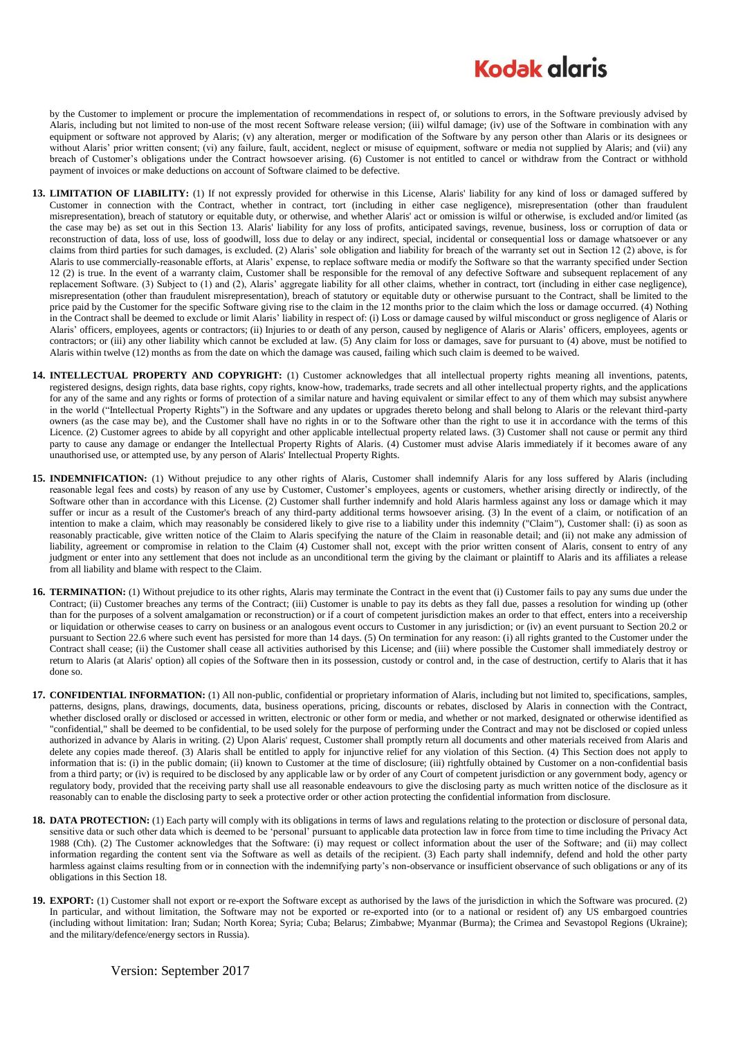## **Kodak glgris**

by the Customer to implement or procure the implementation of recommendations in respect of, or solutions to errors, in the Software previously advised by Alaris, including but not limited to non-use of the most recent Software release version; (iii) wilful damage; (iv) use of the Software in combination with any equipment or software not approved by Alaris; (v) any alteration, merger or modification of the Software by any person other than Alaris or its designees or without Alaris' prior written consent; (vi) any failure, fault, accident, neglect or misuse of equipment, software or media not supplied by Alaris; and (vii) any breach of Customer's obligations under the Contract howsoever arising. (6) Customer is not entitled to cancel or withdraw from the Contract or withhold payment of invoices or make deductions on account of Software claimed to be defective.

- **13. LIMITATION OF LIABILITY:** (1) If not expressly provided for otherwise in this License, Alaris' liability for any kind of loss or damaged suffered by Customer in connection with the Contract, whether in contract, tort (including in either case negligence), misrepresentation (other than fraudulent misrepresentation), breach of statutory or equitable duty, or otherwise, and whether Alaris' act or omission is wilful or otherwise, is excluded and/or limited (as the case may be) as set out in this Section 13. Alaris' liability for any loss of profits, anticipated savings, revenue, business, loss or corruption of data or reconstruction of data, loss of use, loss of goodwill, loss due to delay or any indirect, special, incidental or consequential loss or damage whatsoever or any claims from third parties for such damages, is excluded. (2) Alaris' sole obligation and liability for breach of the warranty set out in Section 12 (2) above, is for Alaris to use commercially-reasonable efforts, at Alaris' expense, to replace software media or modify the Software so that the warranty specified under Section 12 (2) is true. In the event of a warranty claim, Customer shall be responsible for the removal of any defective Software and subsequent replacement of any replacement Software. (3) Subject to (1) and (2), Alaris' aggregate liability for all other claims, whether in contract, tort (including in either case negligence), misrepresentation (other than fraudulent misrepresentation), breach of statutory or equitable duty or otherwise pursuant to the Contract, shall be limited to the price paid by the Customer for the specific Software giving rise to the claim in the 12 months prior to the claim which the loss or damage occurred. (4) Nothing in the Contract shall be deemed to exclude or limit Alaris' liability in respect of: (i) Loss or damage caused by wilful misconduct or gross negligence of Alaris or Alaris' officers, employees, agents or contractors; (ii) Injuries to or death of any person, caused by negligence of Alaris or Alaris' officers, employees, agents or contractors; or (iii) any other liability which cannot be excluded at law. (5) Any claim for loss or damages, save for pursuant to (4) above, must be notified to Alaris within twelve (12) months as from the date on which the damage was caused, failing which such claim is deemed to be waived.
- **14. INTELLECTUAL PROPERTY AND COPYRIGHT:** (1) Customer acknowledges that all intellectual property rights meaning all inventions, patents, registered designs, design rights, data base rights, copy rights, know-how, trademarks, trade secrets and all other intellectual property rights, and the applications for any of the same and any rights or forms of protection of a similar nature and having equivalent or similar effect to any of them which may subsist anywhere in the world ("Intellectual Property Rights") in the Software and any updates or upgrades thereto belong and shall belong to Alaris or the relevant third-party owners (as the case may be), and the Customer shall have no rights in or to the Software other than the right to use it in accordance with the terms of this Licence. (2) Customer agrees to abide by all copyright and other applicable intellectual property related laws. (3) Customer shall not cause or permit any third party to cause any damage or endanger the Intellectual Property Rights of Alaris. (4) Customer must advise Alaris immediately if it becomes aware of any unauthorised use, or attempted use, by any person of Alaris' Intellectual Property Rights.
- 15. **INDEMNIFICATION:** (1) Without prejudice to any other rights of Alaris, Customer shall indemnify Alaris for any loss suffered by Alaris (including reasonable legal fees and costs) by reason of any use by Customer, Customer's employees, agents or customers, whether arising directly or indirectly, of the Software other than in accordance with this License. (2) Customer shall further indemnify and hold Alaris harmless against any loss or damage which it may suffer or incur as a result of the Customer's breach of any third-party additional terms howsoever arising. (3) In the event of a claim, or notification of an intention to make a claim, which may reasonably be considered likely to give rise to a liability under this indemnity ("Claim"), Customer shall: (i) as soon as reasonably practicable, give written notice of the Claim to Alaris specifying the nature of the Claim in reasonable detail; and (ii) not make any admission of liability, agreement or compromise in relation to the Claim (4) Customer shall not, except with the prior written consent of Alaris, consent to entry of any judgment or enter into any settlement that does not include as an unconditional term the giving by the claimant or plaintiff to Alaris and its affiliates a release from all liability and blame with respect to the Claim.
- **16. TERMINATION:** (1) Without prejudice to its other rights, Alaris may terminate the Contract in the event that (i) Customer fails to pay any sums due under the Contract; (ii) Customer breaches any terms of the Contract; (iii) Customer is unable to pay its debts as they fall due, passes a resolution for winding up (other than for the purposes of a solvent amalgamation or reconstruction) or if a court of competent jurisdiction makes an order to that effect, enters into a receivership or liquidation or otherwise ceases to carry on business or an analogous event occurs to Customer in any jurisdiction; or (iv) an event pursuant to Section 20.2 or pursuant to Section 22.6 where such event has persisted for more than 14 days. (5) On termination for any reason: (i) all rights granted to the Customer under the Contract shall cease; (ii) the Customer shall cease all activities authorised by this License; and (iii) where possible the Customer shall immediately destroy or return to Alaris (at Alaris' option) all copies of the Software then in its possession, custody or control and, in the case of destruction, certify to Alaris that it has done so.
- **17. CONFIDENTIAL INFORMATION:** (1) All non-public, confidential or proprietary information of Alaris, including but not limited to, specifications, samples, patterns, designs, plans, drawings, documents, data, business operations, pricing, discounts or rebates, disclosed by Alaris in connection with the Contract, whether disclosed orally or disclosed or accessed in written, electronic or other form or media, and whether or not marked, designated or otherwise identified as "confidential," shall be deemed to be confidential, to be used solely for the purpose of performing under the Contract and may not be disclosed or copied unless authorized in advance by Alaris in writing. (2) Upon Alaris' request, Customer shall promptly return all documents and other materials received from Alaris and delete any copies made thereof. (3) Alaris shall be entitled to apply for injunctive relief for any violation of this Section. (4) This Section does not apply to information that is: (i) in the public domain; (ii) known to Customer at the time of disclosure; (iii) rightfully obtained by Customer on a non-confidential basis from a third party; or (iv) is required to be disclosed by any applicable law or by order of any Court of competent jurisdiction or any government body, agency or regulatory body, provided that the receiving party shall use all reasonable endeavours to give the disclosing party as much written notice of the disclosure as it reasonably can to enable the disclosing party to seek a protective order or other action protecting the confidential information from disclosure.
- **18. DATA PROTECTION:** (1) Each party will comply with its obligations in terms of laws and regulations relating to the protection or disclosure of personal data, sensitive data or such other data which is deemed to be 'personal' pursuant to applicable data protection law in force from time to time including the Privacy Act 1988 (Cth). (2) The Customer acknowledges that the Software: (i) may request or collect information about the user of the Software; and (ii) may collect information regarding the content sent via the Software as well as details of the recipient. (3) Each party shall indemnify, defend and hold the other party harmless against claims resulting from or in connection with the indemnifying party's non-observance or insufficient observance of such obligations or any of its obligations in this Section 18.
- **19. EXPORT:** (1) Customer shall not export or re-export the Software except as authorised by the laws of the jurisdiction in which the Software was procured. (2) In particular, and without limitation, the Software may not be exported or re-exported into (or to a national or resident of) any US embargoed countries (including without limitation: Iran; Sudan; North Korea; Syria; Cuba; Belarus; Zimbabwe; Myanmar (Burma); the Crimea and Sevastopol Regions (Ukraine); and the military/defence/energy sectors in Russia).